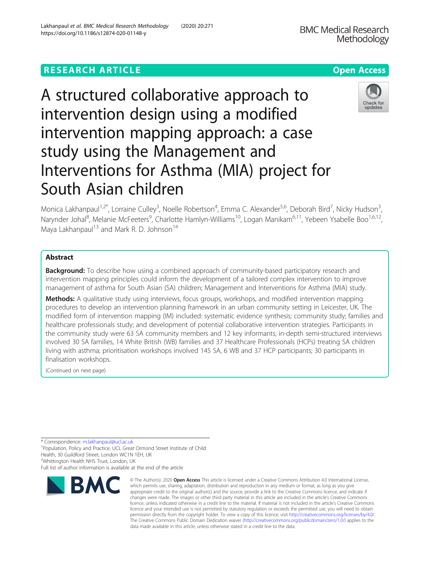# **RESEARCH ARTICLE Example 2014 12:30 The Contract of Contract ACCESS**

A structured collaborative approach to intervention design using a modified intervention mapping approach: a case study using the Management and Interventions for Asthma (MIA) project for South Asian children

Monica Lakhanpaul<sup>1,2\*</sup>, Lorraine Culley<sup>3</sup>, Noelle Robertson<sup>4</sup>, Emma C. Alexander<sup>5,6</sup>, Deborah Bird<sup>7</sup>, Nicky Hudson<sup>3</sup> .<br>. Narynder Johal<sup>8</sup>, Melanie McFeeters<sup>9</sup>, Charlotte Hamlyn-Williams<sup>10</sup>, Logan Manikam<sup>6,11</sup>, Yebeen Ysabelle Boo<sup>1,6,12</sup>, Maya Lakhanpaul<sup>13</sup> and Mark R. D. Johnson<sup>14</sup>

# Abstract

**Background:** To describe how using a combined approach of community-based participatory research and intervention mapping principles could inform the development of a tailored complex intervention to improve management of asthma for South Asian (SA) children; Management and Interventions for Asthma (MIA) study.

Methods: A qualitative study using interviews, focus groups, workshops, and modified intervention mapping procedures to develop an intervention planning framework in an urban community setting in Leicester, UK. The modified form of intervention mapping (IM) included: systematic evidence synthesis; community study; families and healthcare professionals study; and development of potential collaborative intervention strategies. Participants in the community study were 63 SA community members and 12 key informants; in-depth semi-structured interviews involved 30 SA families, 14 White British (WB) families and 37 Healthcare Professionals (HCPs) treating SA children living with asthma; prioritisation workshops involved 145 SA, 6 WB and 37 HCP participants; 30 participants in finalisation workshops.

(Continued on next page)

<sup>2</sup>Whittington Health NHS Trust, London, UK

**BMC** 

Full list of author information is available at the end of the article







<sup>\*</sup> Correspondence: [m.lakhanpaul@ucl.ac.uk](mailto:m.lakhanpaul@ucl.ac.uk) <sup>1</sup>

<sup>&</sup>lt;sup>1</sup>Population, Policy and Practice, UCL Great Ormond Street Institute of Child Health, 30 Guildford Street, London WC1N 1EH, UK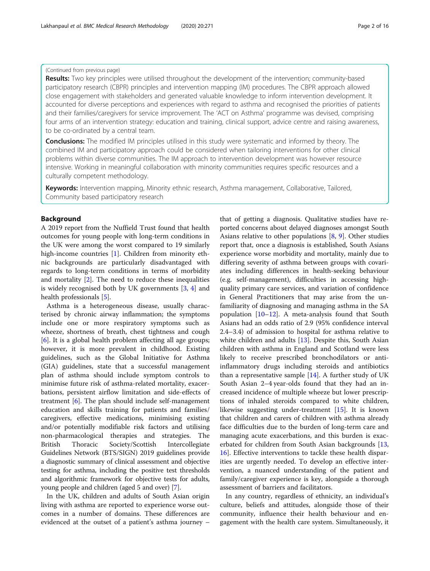## (Continued from previous page)

Results: Two key principles were utilised throughout the development of the intervention; community-based participatory research (CBPR) principles and intervention mapping (IM) procedures. The CBPR approach allowed close engagement with stakeholders and generated valuable knowledge to inform intervention development. It accounted for diverse perceptions and experiences with regard to asthma and recognised the priorities of patients and their families/caregivers for service improvement. The 'ACT on Asthma' programme was devised, comprising four arms of an intervention strategy: education and training, clinical support, advice centre and raising awareness, to be co-ordinated by a central team.

**Conclusions:** The modified IM principles utilised in this study were systematic and informed by theory. The combined IM and participatory approach could be considered when tailoring interventions for other clinical problems within diverse communities. The IM approach to intervention development was however resource intensive. Working in meaningful collaboration with minority communities requires specific resources and a culturally competent methodology.

Keywords: Intervention mapping, Minority ethnic research, Asthma management, Collaborative, Tailored, Community based participatory research

# Background

A 2019 report from the Nuffield Trust found that health outcomes for young people with long-term conditions in the UK were among the worst compared to 19 similarly high-income countries [\[1](#page-14-0)]. Children from minority ethnic backgrounds are particularly disadvantaged with regards to long-term conditions in terms of morbidity and mortality [\[2](#page-14-0)]. The need to reduce these inequalities is widely recognised both by UK governments [[3,](#page-14-0) [4](#page-14-0)] and health professionals [[5](#page-14-0)].

Asthma is a heterogeneous disease, usually characterised by chronic airway inflammation; the symptoms include one or more respiratory symptoms such as wheeze, shortness of breath, chest tightness and cough [[6\]](#page-14-0). It is a global health problem affecting all age groups; however, it is more prevalent in childhood. Existing guidelines, such as the Global Initiative for Asthma (GIA) guidelines, state that a successful management plan of asthma should include symptom controls to minimise future risk of asthma-related mortality, exacerbations, persistent airflow limitation and side-effects of treatment [\[6\]](#page-14-0). The plan should include self-management education and skills training for patients and families/ caregivers, effective medications, minimising existing and/or potentially modifiable risk factors and utilising non-pharmacological therapies and strategies. The British Thoracic Society/Scottish Intercollegiate Guidelines Network (BTS/SIGN) 2019 guidelines provide a diagnostic summary of clinical assessment and objective testing for asthma, including the positive test thresholds and algorithmic framework for objective tests for adults, young people and children (aged 5 and over) [[7\]](#page-14-0).

In the UK, children and adults of South Asian origin living with asthma are reported to experience worse outcomes in a number of domains. These differences are evidenced at the outset of a patient's asthma journey – that of getting a diagnosis. Qualitative studies have reported concerns about delayed diagnoses amongst South Asians relative to other populations [[8,](#page-14-0) [9](#page-14-0)]. Other studies report that, once a diagnosis is established, South Asians experience worse morbidity and mortality, mainly due to differing severity of asthma between groups with covariates including differences in health-seeking behaviour (e.g. self-management), difficulties in accessing highquality primary care services, and variation of confidence in General Practitioners that may arise from the unfamiliarity of diagnosing and managing asthma in the SA population  $[10-12]$  $[10-12]$  $[10-12]$  $[10-12]$ . A meta-analysis found that South Asians had an odds ratio of 2.9 (95% confidence interval 2.4–3.4) of admission to hospital for asthma relative to white children and adults [[13\]](#page-14-0). Despite this, South Asian children with asthma in England and Scotland were less likely to receive prescribed bronchodilators or antiinflammatory drugs including steroids and antibiotics than a representative sample  $[14]$  $[14]$ . A further study of UK South Asian 2–4 year-olds found that they had an increased incidence of multiple wheeze but lower prescriptions of inhaled steroids compared to white children, likewise suggesting under-treatment [\[15](#page-14-0)]. It is known that children and carers of children with asthma already face difficulties due to the burden of long-term care and managing acute exacerbations, and this burden is exacerbated for children from South Asian backgrounds [[13](#page-14-0), [16\]](#page-14-0). Effective interventions to tackle these health disparities are urgently needed. To develop an effective intervention, a nuanced understanding of the patient and family/caregiver experience is key, alongside a thorough assessment of barriers and facilitators.

In any country, regardless of ethnicity, an individual's culture, beliefs and attitudes, alongside those of their community, influence their health behaviour and engagement with the health care system. Simultaneously, it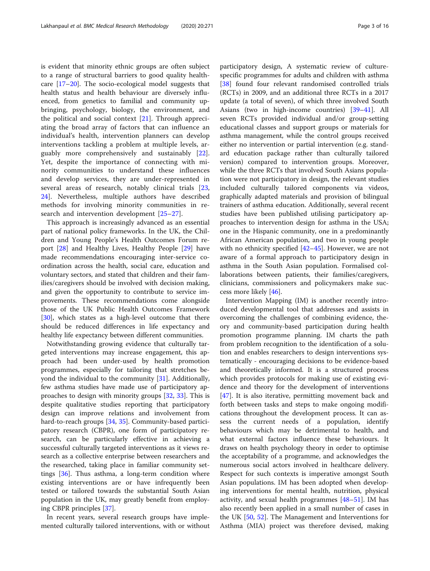is evident that minority ethnic groups are often subject to a range of structural barriers to good quality healthcare [\[17](#page-14-0)–[20\]](#page-14-0). The socio-ecological model suggests that health status and health behaviour are diversely influenced, from genetics to familial and community upbringing, psychology, biology, the environment, and the political and social context [\[21](#page-14-0)]. Through appreciating the broad array of factors that can influence an individual's health, intervention planners can develop interventions tackling a problem at multiple levels, arguably more comprehensively and sustainably [\[22](#page-14-0)]. Yet, despite the importance of connecting with minority communities to understand these influences and develop services, they are under-represented in several areas of research, notably clinical trials [\[23](#page-14-0), [24\]](#page-14-0). Nevertheless, multiple authors have described methods for involving minority communities in research and intervention development [[25](#page-14-0)–[27\]](#page-14-0).

This approach is increasingly advanced as an essential part of national policy frameworks. In the UK, the Children and Young People's Health Outcomes Forum report [[28\]](#page-14-0) and Healthy Lives, Healthy People [\[29](#page-14-0)] have made recommendations encouraging inter-service coordination across the health, social care, education and voluntary sectors, and stated that children and their families/caregivers should be involved with decision making, and given the opportunity to contribute to service improvements. These recommendations come alongside those of the UK Public Health Outcomes Framework [[30\]](#page-14-0), which states as a high-level outcome that there should be reduced differences in life expectancy and healthy life expectancy between different communities.

Notwithstanding growing evidence that culturally targeted interventions may increase engagement, this approach had been under-used by health promotion programmes, especially for tailoring that stretches beyond the individual to the community [\[31\]](#page-14-0). Additionally, few asthma studies have made use of participatory approaches to design with minority groups [[32,](#page-14-0) [33\]](#page-14-0). This is despite qualitative studies reporting that participatory design can improve relations and involvement from hard-to-reach groups [[34,](#page-14-0) [35](#page-14-0)]. Community-based participatory research (CBPR), one form of participatory research, can be particularly effective in achieving a successful culturally targeted interventions as it views research as a collective enterprise between researchers and the researched, taking place in familiar community settings [\[36](#page-14-0)]. Thus asthma, a long-term condition where existing interventions are or have infrequently been tested or tailored towards the substantial South Asian population in the UK, may greatly benefit from employing CBPR principles [\[37\]](#page-14-0).

In recent years, several research groups have implemented culturally tailored interventions, with or without

participatory design, A systematic review of culturespecific programmes for adults and children with asthma [[38\]](#page-14-0) found four relevant randomised controlled trials (RCTs) in 2009, and an additional three RCTs in a 2017 update (a total of seven), of which three involved South Asians (two in high-income countries) [[39](#page-14-0)–[41](#page-15-0)]. All seven RCTs provided individual and/or group-setting educational classes and support groups or materials for asthma management, while the control groups received either no intervention or partial intervention (e.g. standard education package rather than culturally tailored version) compared to intervention groups. Moreover, while the three RCTs that involved South Asians population were not participatory in design, the relevant studies included culturally tailored components via videos, graphically adapted materials and provision of bilingual trainers of asthma education. Additionally, several recent studies have been published utilising participatory approaches to intervention design for asthma in the USA; one in the Hispanic community, one in a predominantly African American population, and two in young people with no ethnicity specified  $[42-45]$  $[42-45]$  $[42-45]$ . However, we are not aware of a formal approach to participatory design in asthma in the South Asian population. Formalised collaborations between patients, their families/caregivers, clinicians, commissioners and policymakers make success more likely [[46\]](#page-15-0).

Intervention Mapping (IM) is another recently introduced developmental tool that addresses and assists in overcoming the challenges of combining evidence, theory and community-based participation during health promotion programme planning. IM charts the path from problem recognition to the identification of a solution and enables researchers to design interventions systematically - encouraging decisions to be evidence-based and theoretically informed. It is a structured process which provides protocols for making use of existing evidence and theory for the development of interventions [[47\]](#page-15-0). It is also iterative, permitting movement back and forth between tasks and steps to make ongoing modifications throughout the development process. It can assess the current needs of a population, identify behaviours which may be detrimental to health, and what external factors influence these behaviours. It draws on health psychology theory in order to optimise the acceptability of a programme, and acknowledges the numerous social actors involved in healthcare delivery. Respect for such contexts is imperative amongst South Asian populations. IM has been adopted when developing interventions for mental health, nutrition, physical activity, and sexual health programmes  $[48-51]$  $[48-51]$  $[48-51]$ . IM has also recently been applied in a small number of cases in the UK [[50,](#page-15-0) [52](#page-15-0)]. The Management and Interventions for Asthma (MIA) project was therefore devised, making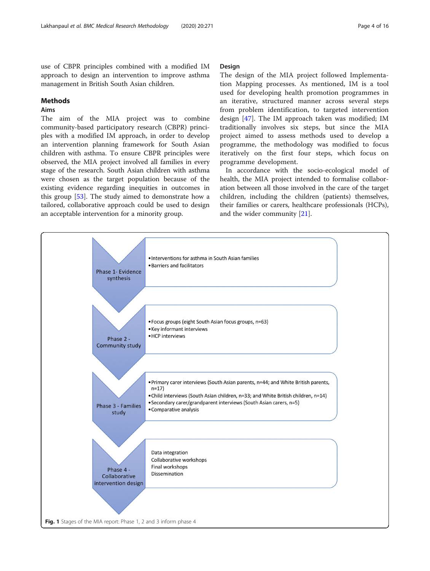<span id="page-3-0"></span>use of CBPR principles combined with a modified IM approach to design an intervention to improve asthma management in British South Asian children.

## Methods

# Aims

The aim of the MIA project was to combine community-based participatory research (CBPR) principles with a modified IM approach, in order to develop an intervention planning framework for South Asian children with asthma. To ensure CBPR principles were observed, the MIA project involved all families in every stage of the research. South Asian children with asthma were chosen as the target population because of the existing evidence regarding inequities in outcomes in this group [[53\]](#page-15-0). The study aimed to demonstrate how a tailored, collaborative approach could be used to design an acceptable intervention for a minority group.

## Design

The design of the MIA project followed Implementation Mapping processes. As mentioned, IM is a tool used for developing health promotion programmes in an iterative, structured manner across several steps from problem identification, to targeted intervention design [[47\]](#page-15-0). The IM approach taken was modified; IM traditionally involves six steps, but since the MIA project aimed to assess methods used to develop a programme, the methodology was modified to focus iteratively on the first four steps, which focus on programme development.

In accordance with the socio-ecological model of health, the MIA project intended to formalise collaboration between all those involved in the care of the target children, including the children (patients) themselves, their families or carers, healthcare professionals (HCPs), and the wider community [\[21\]](#page-14-0).

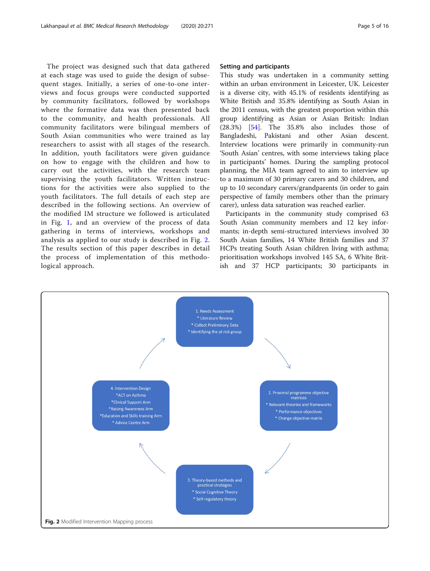The project was designed such that data gathered at each stage was used to guide the design of subsequent stages. Initially, a series of one-to-one interviews and focus groups were conducted supported by community facilitators, followed by workshops where the formative data was then presented back to the community, and health professionals. All community facilitators were bilingual members of South Asian communities who were trained as lay researchers to assist with all stages of the research. In addition, youth facilitators were given guidance on how to engage with the children and how to carry out the activities, with the research team supervising the youth facilitators. Written instructions for the activities were also supplied to the youth facilitators. The full details of each step are described in the following sections. An overview of the modified IM structure we followed is articulated in Fig. [1](#page-3-0), and an overview of the process of data gathering in terms of interviews, workshops and analysis as applied to our study is described in Fig. 2. The results section of this paper describes in detail the process of implementation of this methodological approach.

## Setting and participants

This study was undertaken in a community setting within an urban environment in Leicester, UK. Leicester is a diverse city, with 45.1% of residents identifying as White British and 35.8% identifying as South Asian in the 2011 census, with the greatest proportion within this group identifying as Asian or Asian British: Indian (28.3%) [\[54](#page-15-0)]. The 35.8% also includes those of Bangladeshi, Pakistani and other Asian descent. Interview locations were primarily in community-run 'South Asian' centres, with some interviews taking place in participants' homes. During the sampling protocol planning, the MIA team agreed to aim to interview up to a maximum of 30 primary carers and 30 children, and up to 10 secondary carers/grandparents (in order to gain perspective of family members other than the primary carer), unless data saturation was reached earlier.

Participants in the community study comprised 63 South Asian community members and 12 key informants; in-depth semi-structured interviews involved 30 South Asian families, 14 White British families and 37 HCPs treating South Asian children living with asthma; prioritisation workshops involved 145 SA, 6 White British and 37 HCP participants; 30 participants in

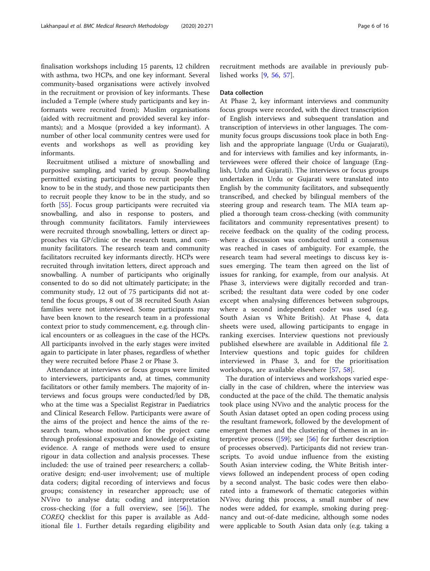finalisation workshops including 15 parents, 12 children with asthma, two HCPs, and one key informant. Several community-based organisations were actively involved in the recruitment or provision of key informants. These included a Temple (where study participants and key informants were recruited from); Muslim organisations (aided with recruitment and provided several key informants); and a Mosque (provided a key informant). A number of other local community centres were used for events and workshops as well as providing key informants.

Recruitment utilised a mixture of snowballing and purposive sampling, and varied by group. Snowballing permitted existing participants to recruit people they know to be in the study, and those new participants then to recruit people they know to be in the study, and so forth [[55](#page-15-0)]. Focus group participants were recruited via snowballing, and also in response to posters, and through community facilitators. Family interviewees were recruited through snowballing, letters or direct approaches via GP/clinic or the research team, and community facilitators. The research team and community facilitators recruited key informants directly. HCPs were recruited through invitation letters, direct approach and snowballing. A number of participants who originally consented to do so did not ultimately participate; in the community study, 12 out of 75 participants did not attend the focus groups, 8 out of 38 recruited South Asian families were not interviewed. Some participants may have been known to the research team in a professional context prior to study commencement, e.g. through clinical encounters or as colleagues in the case of the HCPs. All participants involved in the early stages were invited again to participate in later phases, regardless of whether they were recruited before Phase 2 or Phase 3.

Attendance at interviews or focus groups were limited to interviewers, participants and, at times, community facilitators or other family members. The majority of interviews and focus groups were conducted/led by DB, who at the time was a Specialist Registrar in Paediatrics and Clinical Research Fellow. Participants were aware of the aims of the project and hence the aims of the research team, whose motivation for the project came through professional exposure and knowledge of existing evidence. A range of methods were used to ensure rigour in data collection and analysis processes. These included: the use of trained peer researchers; a collaborative design; end-user involvement; use of multiple data coders; digital recording of interviews and focus groups; consistency in researcher approach; use of NVivo to analyse data; coding and interpretation cross-checking (for a full overview, see [\[56](#page-15-0)]). The COREQ checklist for this paper is available as Additional file [1](#page-13-0). Further details regarding eligibility and

recruitment methods are available in previously published works [[9,](#page-14-0) [56](#page-15-0), [57](#page-15-0)].

#### Data collection

At Phase 2, key informant interviews and community focus groups were recorded, with the direct transcription of English interviews and subsequent translation and transcription of interviews in other languages. The community focus groups discussions took place in both English and the appropriate language (Urdu or Guajarati), and for interviews with families and key informants, interviewees were offered their choice of language (English, Urdu and Gujarati). The interviews or focus groups undertaken in Urdu or Gujarati were translated into English by the community facilitators, and subsequently transcribed, and checked by bilingual members of the steering group and research team. The MIA team applied a thorough team cross-checking (with community facilitators and community representatives present) to receive feedback on the quality of the coding process, where a discussion was conducted until a consensus was reached in cases of ambiguity. For example, the research team had several meetings to discuss key issues emerging. The team then agreed on the list of issues for ranking, for example, from our analysis. At Phase 3, interviews were digitally recorded and transcribed; the resultant data were coded by one coder except when analysing differences between subgroups, where a second independent coder was used (e.g. South Asian vs White British). At Phase 4, data sheets were used, allowing participants to engage in ranking exercises. Interview questions not previously published elsewhere are available in Additional file [2](#page-13-0). Interview questions and topic guides for children interviewed in Phase 3, and for the prioritisation workshops, are available elsewhere [\[57](#page-15-0), [58\]](#page-15-0).

The duration of interviews and workshops varied especially in the case of children, where the interview was conducted at the pace of the child. The thematic analysis took place using NVivo and the analytic process for the South Asian dataset opted an open coding process using the resultant framework, followed by the development of emergent themes and the clustering of themes in an interpretive process  $([59]$  $([59]$ ; see [[56\]](#page-15-0) for further description of processes observed). Participants did not review transcripts. To avoid undue influence from the existing South Asian interview coding, the White British interviews followed an independent process of open coding by a second analyst. The basic codes were then elaborated into a framework of thematic categories within NVivo; during this process, a small number of new nodes were added, for example, smoking during pregnancy and out-of-date medicine, although some nodes were applicable to South Asian data only (e.g. taking a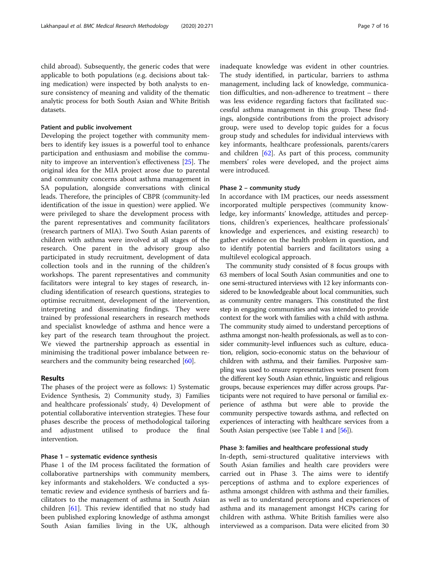child abroad). Subsequently, the generic codes that were applicable to both populations (e.g. decisions about taking medication) were inspected by both analysts to ensure consistency of meaning and validity of the thematic analytic process for both South Asian and White British datasets.

#### Patient and public involvement

Developing the project together with community members to identify key issues is a powerful tool to enhance participation and enthusiasm and mobilise the community to improve an intervention's effectiveness [[25](#page-14-0)]. The original idea for the MIA project arose due to parental and community concerns about asthma management in SA population, alongside conversations with clinical leads. Therefore, the principles of CBPR (community-led identification of the issue in question) were applied. We were privileged to share the development process with the parent representatives and community facilitators (research partners of MIA). Two South Asian parents of children with asthma were involved at all stages of the research. One parent in the advisory group also participated in study recruitment, development of data collection tools and in the running of the children's workshops. The parent representatives and community facilitators were integral to key stages of research, including identification of research questions, strategies to optimise recruitment, development of the intervention, interpreting and disseminating findings. They were trained by professional researchers in research methods and specialist knowledge of asthma and hence were a key part of the research team throughout the project. We viewed the partnership approach as essential in minimising the traditional power imbalance between re-searchers and the community being researched [[60\]](#page-15-0).

## Results

The phases of the project were as follows: 1) Systematic Evidence Synthesis, 2) Community study, 3) Families and healthcare professionals' study, 4) Development of potential collaborative intervention strategies. These four phases describe the process of methodological tailoring and adjustment utilised to produce the final intervention.

## Phase 1 – systematic evidence synthesis

Phase 1 of the IM process facilitated the formation of collaborative partnerships with community members, key informants and stakeholders. We conducted a systematic review and evidence synthesis of barriers and facilitators to the management of asthma in South Asian children [[61\]](#page-15-0). This review identified that no study had been published exploring knowledge of asthma amongst South Asian families living in the UK, although inadequate knowledge was evident in other countries. The study identified, in particular, barriers to asthma management, including lack of knowledge, communication difficulties, and non-adherence to treatment – there was less evidence regarding factors that facilitated successful asthma management in this group. These findings, alongside contributions from the project advisory group, were used to develop topic guides for a focus group study and schedules for individual interviews with key informants, healthcare professionals, parents/carers and children [[62\]](#page-15-0). As part of this process, community members' roles were developed, and the project aims were introduced.

#### Phase 2 – community study

In accordance with IM practices, our needs assessment incorporated multiple perspectives (community knowledge, key informants' knowledge, attitudes and perceptions, children's experiences, healthcare professionals' knowledge and experiences, and existing research) to gather evidence on the health problem in question, and to identify potential barriers and facilitators using a multilevel ecological approach.

The community study consisted of 8 focus groups with 63 members of local South Asian communities and one to one semi-structured interviews with 12 key informants considered to be knowledgeable about local communities, such as community centre managers. This constituted the first step in engaging communities and was intended to provide context for the work with families with a child with asthma. The community study aimed to understand perceptions of asthma amongst non-health professionals, as well as to consider community-level influences such as culture, education, religion, socio-economic status on the behaviour of children with asthma, and their families. Purposive sampling was used to ensure representatives were present from the different key South Asian ethnic, linguistic and religious groups, because experiences may differ across groups. Participants were not required to have personal or familial experience of asthma but were able to provide the community perspective towards asthma, and reflected on experiences of interacting with healthcare services from a South Asian perspective (see Table [1](#page-7-0) and [\[56\]](#page-15-0)).

# Phase 3: families and healthcare professional study

In-depth, semi-structured qualitative interviews with South Asian families and health care providers were carried out in Phase 3. The aims were to identify perceptions of asthma and to explore experiences of asthma amongst children with asthma and their families, as well as to understand perceptions and experiences of asthma and its management amongst HCPs caring for children with asthma. White British families were also interviewed as a comparison. Data were elicited from 30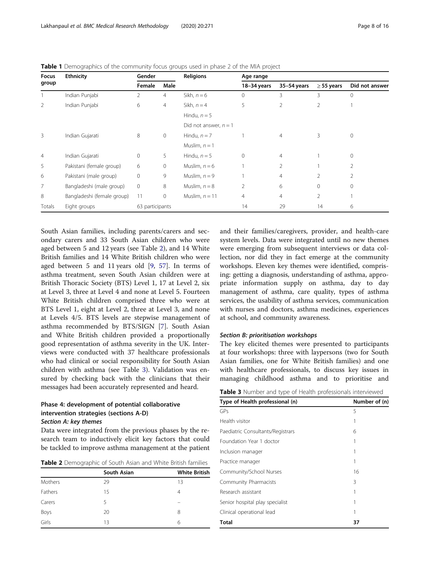| <b>Focus</b> | Ethnicity                  | Gender          |                | <b>Religions</b>        | Age range      |                |                 |                |
|--------------|----------------------------|-----------------|----------------|-------------------------|----------------|----------------|-----------------|----------------|
| group        |                            | Female          | Male           |                         | 18-34 years    | 35-54 years    | $\geq$ 55 years | Did not answer |
|              | Indian Punjabi             | $\overline{2}$  | 4              | Sikh, $n = 6$           | $\mathbf{0}$   | 3              | 3               | 0              |
| 2            | Indian Punjabi             | 6               | $\overline{4}$ | Sikh, $n = 4$           | 5              | $\overline{2}$ | 2               |                |
|              |                            |                 |                | Hindu, $n = 5$          |                |                |                 |                |
|              |                            |                 |                | Did not answer, $n = 1$ |                |                |                 |                |
| 3            | Indian Gujarati            | 8               | $\mathbf 0$    | Hindu, $n = 7$          |                | $\overline{4}$ | 3               | 0              |
|              |                            |                 |                | Muslim, $n = 1$         |                |                |                 |                |
| 4            | Indian Gujarati            | $\mathbf{0}$    | 5              | Hindu, $n = 5$          | $\mathbf{0}$   | $\overline{4}$ |                 | 0              |
| 5            | Pakistani (female group)   | 6               | $\mathbf{0}$   | Muslim, $n = 6$         |                | $\overline{2}$ |                 | $\overline{2}$ |
| 6            | Pakistani (male group)     | $\circ$         | 9              | Muslim, $n = 9$         |                | $\overline{4}$ | $\overline{2}$  | $\overline{2}$ |
| 7            | Bangladeshi (male group)   | $\mathbf{0}$    | 8              | Muslim, $n = 8$         | $\overline{2}$ | 6              | 0               | 0              |
| 8            | Bangladeshi (female group) | 11              | $\mathbf{0}$   | Muslim, $n = 11$        | $\overline{4}$ | $\overline{4}$ | 2               |                |
| Totals       | Eight groups               | 63 participants |                |                         | 14             | 29             | 14              | 6              |

<span id="page-7-0"></span>Table 1 Demographics of the community focus groups used in phase 2 of the MIA project

South Asian families, including parents/carers and secondary carers and 33 South Asian children who were aged between 5 and 12 years (see Table 2), and 14 White British families and 14 White British children who were aged between 5 and 11 years old  $[9, 57]$  $[9, 57]$  $[9, 57]$  $[9, 57]$ . In terms of asthma treatment, seven South Asian children were at British Thoracic Society (BTS) Level 1, 17 at Level 2, six at Level 3, three at Level 4 and none at Level 5. Fourteen White British children comprised three who were at BTS Level 1, eight at Level 2, three at Level 3, and none at Levels 4/5. BTS levels are stepwise management of asthma recommended by BTS/SIGN [[7\]](#page-14-0). South Asian and White British children provided a proportionally good representation of asthma severity in the UK. Interviews were conducted with 37 healthcare professionals who had clinical or social responsibility for South Asian children with asthma (see Table 3). Validation was ensured by checking back with the clinicians that their messages had been accurately represented and heard.

# Phase 4: development of potential collaborative intervention strategies (sections A-D) Section A: key themes

Data were integrated from the previous phases by the research team to inductively elicit key factors that could be tackled to improve asthma management at the patient

Table 2 Demographic of South Asian and White British families

|         | South Asian | <b>White British</b> |  |  |
|---------|-------------|----------------------|--|--|
| Mothers | 29          | 13                   |  |  |
| Fathers | 15          | 4                    |  |  |
| Carers  | 5           |                      |  |  |
| Boys    | 20          | 8                    |  |  |
| Girls   | 13          | 6                    |  |  |

and their families/caregivers, provider, and health-care system levels. Data were integrated until no new themes were emerging from subsequent interviews or data collection, nor did they in fact emerge at the community workshops. Eleven key themes were identified, comprising: getting a diagnosis, understanding of asthma, appropriate information supply on asthma, day to day management of asthma, care quality, types of asthma services, the usability of asthma services, communication with nurses and doctors, asthma medicines, experiences at school, and community awareness.

# Section B: prioritisation workshops

The key elicited themes were presented to participants at four workshops: three with laypersons (two for South Asian families, one for White British families) and one with healthcare professionals, to discuss key issues in managing childhood asthma and to prioritise and

|  |  |  |  |  |  | Table 3 Number and type of Health professionals interviewed |  |
|--|--|--|--|--|--|-------------------------------------------------------------|--|
|--|--|--|--|--|--|-------------------------------------------------------------|--|

| Type of Health professional (n)   | Number of (n) |  |  |
|-----------------------------------|---------------|--|--|
| GPs                               | 5             |  |  |
| Health visitor                    |               |  |  |
| Paediatric Consultants/Registrars | 6             |  |  |
| Foundation Year 1 doctor          |               |  |  |
| Inclusion manager                 |               |  |  |
| Practice manager                  | 1             |  |  |
| Community/School Nurses           | 16            |  |  |
| Community Pharmacists             | 3             |  |  |
| Research assistant                | 1             |  |  |
| Senior hospital play specialist   |               |  |  |
| Clinical operational lead         |               |  |  |
| <b>Total</b>                      | 37            |  |  |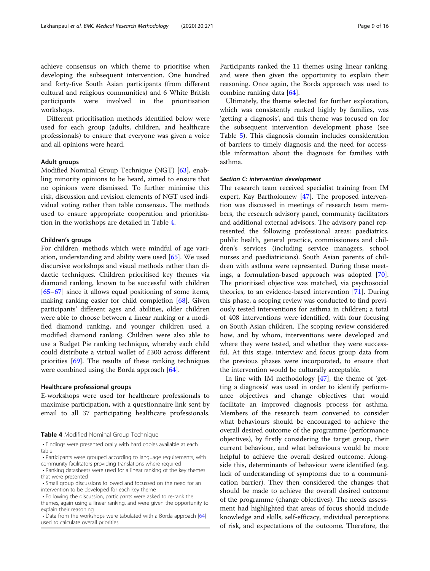achieve consensus on which theme to prioritise when developing the subsequent intervention. One hundred and forty-five South Asian participants (from different cultural and religious communities) and 6 White British participants were involved in the prioritisation workshops.

Different prioritisation methods identified below were used for each group (adults, children, and healthcare professionals) to ensure that everyone was given a voice and all opinions were heard.

## Adult groups

Modified Nominal Group Technique (NGT) [[63\]](#page-15-0), enabling minority opinions to be heard, aimed to ensure that no opinions were dismissed. To further minimise this risk, discussion and revision elements of NGT used individual voting rather than table consensus. The methods used to ensure appropriate cooperation and prioritisation in the workshops are detailed in Table 4.

## Children's groups

For children, methods which were mindful of age variation, understanding and ability were used [[65](#page-15-0)]. We used discursive workshops and visual methods rather than didactic techniques. Children prioritised key themes via diamond ranking, known to be successful with children [[65](#page-15-0)–[67](#page-15-0)] since it allows equal positioning of some items, making ranking easier for child completion [\[68\]](#page-15-0). Given participants' different ages and abilities, older children were able to choose between a linear ranking or a modified diamond ranking, and younger children used a modified diamond ranking. Children were also able to use a Budget Pie ranking technique, whereby each child could distribute a virtual wallet of £300 across different priorities [\[69\]](#page-15-0). The results of these ranking techniques were combined using the Borda approach [[64\]](#page-15-0).

#### Healthcare professional groups

E-workshops were used for healthcare professionals to maximise participation, with a questionnaire link sent by email to all 37 participating healthcare professionals.

**Table 4** Modified Nominal Group Technique

• Small group discussions followed and focussed on the need for an intervention to be developed for each key theme

- themes, again using a linear ranking, and were given the opportunity to explain their reasoning
- Data from the workshops were tabulated with a Borda approach [\[64\]](#page-15-0) used to calculate overall priorities

Participants ranked the 11 themes using linear ranking, and were then given the opportunity to explain their reasoning. Once again, the Borda approach was used to combine ranking data [\[64](#page-15-0)].

Ultimately, the theme selected for further exploration, which was consistently ranked highly by families, was 'getting a diagnosis', and this theme was focused on for the subsequent intervention development phase (see Table [5\)](#page-9-0). This diagnosis domain includes consideration of barriers to timely diagnosis and the need for accessible information about the diagnosis for families with asthma.

## Section C: intervention development

The research team received specialist training from IM expert, Kay Bartholomew [[47\]](#page-15-0). The proposed intervention was discussed in meetings of research team members, the research advisory panel, community facilitators and additional external advisors. The advisory panel represented the following professional areas: paediatrics, public health, general practice, commissioners and children's services (including service managers, school nurses and paediatricians). South Asian parents of children with asthma were represented. During these meetings, a formulation-based approach was adopted [\[70](#page-15-0)]. The prioritised objective was matched, via psychosocial theories, to an evidence-based intervention [[71\]](#page-15-0). During this phase, a scoping review was conducted to find previously tested interventions for asthma in children; a total of 408 interventions were identified, with four focusing on South Asian children. The scoping review considered how, and by whom, interventions were developed and where they were tested, and whether they were successful. At this stage, interview and focus group data from the previous phases were incorporated, to ensure that the intervention would be culturally acceptable.

In line with IM methodology [\[47](#page-15-0)], the theme of 'getting a diagnosis' was used in order to identify performance objectives and change objectives that would facilitate an improved diagnosis process for asthma. Members of the research team convened to consider what behaviours should be encouraged to achieve the overall desired outcome of the programme (performance objectives), by firstly considering the target group, their current behaviour, and what behaviours would be more helpful to achieve the overall desired outcome. Alongside this, determinants of behaviour were identified (e.g. lack of understanding of symptoms due to a communication barrier). They then considered the changes that should be made to achieve the overall desired outcome of the programme (change objectives). The needs assessment had highlighted that areas of focus should include knowledge and skills, self-efficacy, individual perceptions of risk, and expectations of the outcome. Therefore, the

<sup>•</sup> Findings were presented orally with hard copies available at each table

<sup>•</sup> Participants were grouped according to language requirements, with community facilitators providing translations where required

<sup>•</sup> Ranking datasheets were used for a linear ranking of the key themes that were presented

<sup>•</sup> Following the discussion, participants were asked to re-rank the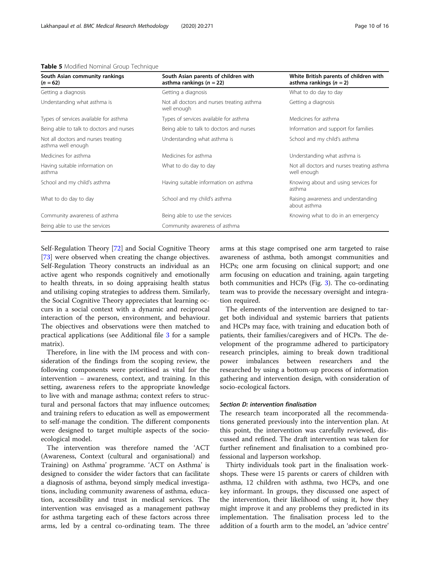| South Asian community rankings<br>$(n = 62)$              | South Asian parents of children with<br>asthma rankings ( $n = 22$ ) | White British parents of children with<br>asthma rankings $(n = 2)$ |  |  |
|-----------------------------------------------------------|----------------------------------------------------------------------|---------------------------------------------------------------------|--|--|
| Getting a diagnosis                                       | Getting a diagnosis                                                  | What to do day to day                                               |  |  |
| Understanding what asthma is                              | Not all doctors and nurses treating asthma<br>well enough            | Getting a diagnosis                                                 |  |  |
| Types of services available for asthma                    | Types of services available for asthma                               | Medicines for asthma                                                |  |  |
| Being able to talk to doctors and nurses                  | Being able to talk to doctors and nurses                             | Information and support for families                                |  |  |
| Not all doctors and nurses treating<br>asthma well enough | Understanding what asthma is                                         | School and my child's asthma                                        |  |  |
| Medicines for asthma                                      | Medicines for asthma                                                 | Understanding what asthma is                                        |  |  |
| Having suitable information on<br>asthma                  | What to do day to day                                                | Not all doctors and nurses treating asthma<br>well enough           |  |  |
| School and my child's asthma                              | Having suitable information on asthma                                | Knowing about and using services for<br>asthma                      |  |  |
| What to do day to day                                     | School and my child's asthma                                         | Raising awareness and understanding<br>about asthma                 |  |  |
| Community awareness of asthma                             | Being able to use the services                                       | Knowing what to do in an emergency                                  |  |  |
| Being able to use the services                            | Community awareness of asthma                                        |                                                                     |  |  |

#### <span id="page-9-0"></span>Table 5 Modified Nominal Group Technique

Self-Regulation Theory [[72](#page-15-0)] and Social Cognitive Theory [[73\]](#page-15-0) were observed when creating the change objectives. Self-Regulation Theory constructs an individual as an active agent who responds cognitively and emotionally to health threats, in so doing appraising health status and utilising coping strategies to address them. Similarly, the Social Cognitive Theory appreciates that learning occurs in a social context with a dynamic and reciprocal interaction of the person, environment, and behaviour. The objectives and observations were then matched to practical applications (see Additional file [3](#page-13-0) for a sample matrix).

Therefore, in line with the IM process and with consideration of the findings from the scoping review, the following components were prioritised as vital for the intervention – awareness, context, and training. In this setting, awareness refers to the appropriate knowledge to live with and manage asthma; context refers to structural and personal factors that may influence outcomes; and training refers to education as well as empowerment to self-manage the condition. The different components were designed to target multiple aspects of the socioecological model.

The intervention was therefore named the 'ACT (Awareness, Context (cultural and organisational) and Training) on Asthma' programme. 'ACT on Asthma' is designed to consider the wider factors that can facilitate a diagnosis of asthma, beyond simply medical investigations, including community awareness of asthma, education, accessibility and trust in medical services. The intervention was envisaged as a management pathway for asthma targeting each of these factors across three arms, led by a central co-ordinating team. The three arms at this stage comprised one arm targeted to raise awareness of asthma, both amongst communities and HCPs; one arm focusing on clinical support; and one arm focusing on education and training, again targeting both communities and HCPs (Fig. [3\)](#page-10-0). The co-ordinating team was to provide the necessary oversight and integration required.

The elements of the intervention are designed to target both individual and systemic barriers that patients and HCPs may face, with training and education both of patients, their families/caregivers and of HCPs. The development of the programme adhered to participatory research principles, aiming to break down traditional power imbalances between researchers and the researched by using a bottom-up process of information gathering and intervention design, with consideration of socio-ecological factors.

### Section D: intervention finalisation

The research team incorporated all the recommendations generated previously into the intervention plan. At this point, the intervention was carefully reviewed, discussed and refined. The draft intervention was taken for further refinement and finalisation to a combined professional and layperson workshop.

Thirty individuals took part in the finalisation workshops. These were 15 parents or carers of children with asthma, 12 children with asthma, two HCPs, and one key informant. In groups, they discussed one aspect of the intervention, their likelihood of using it, how they might improve it and any problems they predicted in its implementation. The finalisation process led to the addition of a fourth arm to the model, an 'advice centre'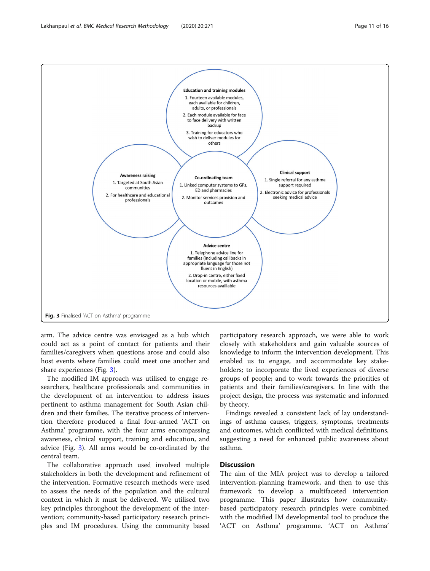<span id="page-10-0"></span>

arm. The advice centre was envisaged as a hub which could act as a point of contact for patients and their families/caregivers when questions arose and could also host events where families could meet one another and share experiences (Fig. 3).

The modified IM approach was utilised to engage researchers, healthcare professionals and communities in the development of an intervention to address issues pertinent to asthma management for South Asian children and their families. The iterative process of intervention therefore produced a final four-armed 'ACT on Asthma' programme, with the four arms encompassing awareness, clinical support, training and education, and advice (Fig. 3). All arms would be co-ordinated by the central team.

The collaborative approach used involved multiple stakeholders in both the development and refinement of the intervention. Formative research methods were used to assess the needs of the population and the cultural context in which it must be delivered. We utilised two key principles throughout the development of the intervention; community-based participatory research principles and IM procedures. Using the community based

participatory research approach, we were able to work closely with stakeholders and gain valuable sources of knowledge to inform the intervention development. This enabled us to engage, and accommodate key stakeholders; to incorporate the lived experiences of diverse groups of people; and to work towards the priorities of patients and their families/caregivers. In line with the project design, the process was systematic and informed by theory.

Findings revealed a consistent lack of lay understandings of asthma causes, triggers, symptoms, treatments and outcomes, which conflicted with medical definitions, suggesting a need for enhanced public awareness about asthma.

# **Discussion**

The aim of the MIA project was to develop a tailored intervention-planning framework, and then to use this framework to develop a multifaceted intervention programme. This paper illustrates how communitybased participatory research principles were combined with the modified IM developmental tool to produce the 'ACT on Asthma' programme. 'ACT on Asthma'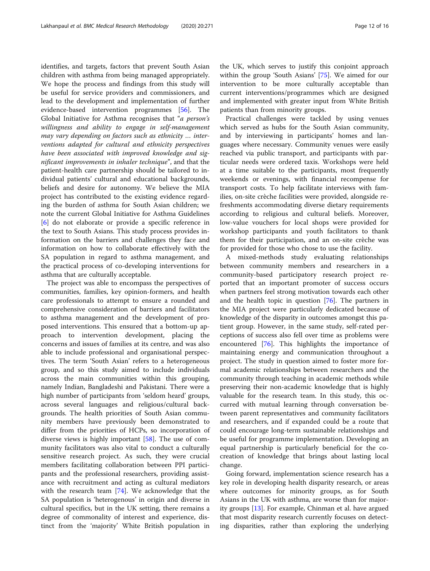identifies, and targets, factors that prevent South Asian children with asthma from being managed appropriately. We hope the process and findings from this study will be useful for service providers and commissioners, and lead to the development and implementation of further evidence-based intervention programmes [\[56\]](#page-15-0). The Global Initiative for Asthma recognises that "a person's willingness and ability to engage in self-management may vary depending on factors such as ethnicity … interventions adapted for cultural and ethnicity perspectives have been associated with improved knowledge and significant improvements in inhaler technique", and that the patient-health care partnership should be tailored to individual patients' cultural and educational backgrounds, beliefs and desire for autonomy. We believe the MIA project has contributed to the existing evidence regarding the burden of asthma for South Asian children; we note the current Global Initiative for Asthma Guidelines [[6\]](#page-14-0) do not elaborate or provide a specific reference in the text to South Asians. This study process provides information on the barriers and challenges they face and information on how to collaborate effectively with the SA population in regard to asthma management, and the practical process of co-developing interventions for asthma that are culturally acceptable.

The project was able to encompass the perspectives of communities, families, key opinion-formers, and health care professionals to attempt to ensure a rounded and comprehensive consideration of barriers and facilitators to asthma management and the development of proposed interventions. This ensured that a bottom-up approach to intervention development, placing the concerns and issues of families at its centre, and was also able to include professional and organisational perspectives. The term 'South Asian' refers to a heterogeneous group, and so this study aimed to include individuals across the main communities within this grouping, namely Indian, Bangladeshi and Pakistani. There were a high number of participants from 'seldom heard' groups, across several languages and religious/cultural backgrounds. The health priorities of South Asian community members have previously been demonstrated to differ from the priorities of HCPs, so incorporation of diverse views is highly important [\[58](#page-15-0)]. The use of community facilitators was also vital to conduct a culturally sensitive research project. As such, they were crucial members facilitating collaboration between PPI participants and the professional researchers, providing assistance with recruitment and acting as cultural mediators with the research team [\[74](#page-15-0)]. We acknowledge that the SA population is 'heterogenous' in origin and diverse in cultural specifics, but in the UK setting, there remains a degree of commonality of interest and experience, distinct from the 'majority' White British population in

the UK, which serves to justify this conjoint approach within the group 'South Asians' [[75\]](#page-15-0). We aimed for our intervention to be more culturally acceptable than current interventions/programmes which are designed and implemented with greater input from White British patients than from minority groups.

Practical challenges were tackled by using venues which served as hubs for the South Asian community, and by interviewing in participants' homes and languages where necessary. Community venues were easily reached via public transport, and participants with particular needs were ordered taxis. Workshops were held at a time suitable to the participants, most frequently weekends or evenings, with financial recompense for transport costs. To help facilitate interviews with families, on-site crèche facilities were provided, alongside refreshments accommodating diverse dietary requirements according to religious and cultural beliefs. Moreover, low-value vouchers for local shops were provided for workshop participants and youth facilitators to thank them for their participation, and an on-site crèche was for provided for those who chose to use the facility.

A mixed-methods study evaluating relationships between community members and researchers in a community-based participatory research project reported that an important promoter of success occurs when partners feel strong motivation towards each other and the health topic in question [[76\]](#page-15-0). The partners in the MIA project were particularly dedicated because of knowledge of the disparity in outcomes amongst this patient group. However, in the same study, self-rated perceptions of success also fell over time as problems were encountered [\[76](#page-15-0)]. This highlights the importance of maintaining energy and communication throughout a project. The study in question aimed to foster more formal academic relationships between researchers and the community through teaching in academic methods while preserving their non-academic knowledge that is highly valuable for the research team. In this study, this occurred with mutual learning through conversation between parent representatives and community facilitators and researchers, and if expanded could be a route that could encourage long-term sustainable relationships and be useful for programme implementation. Developing an equal partnership is particularly beneficial for the cocreation of knowledge that brings about lasting local change.

Going forward, implementation science research has a key role in developing health disparity research, or areas where outcomes for minority groups, as for South Asians in the UK with asthma, are worse than for majority groups [[13\]](#page-14-0). For example, Chinman et al. have argued that most disparity research currently focuses on detecting disparities, rather than exploring the underlying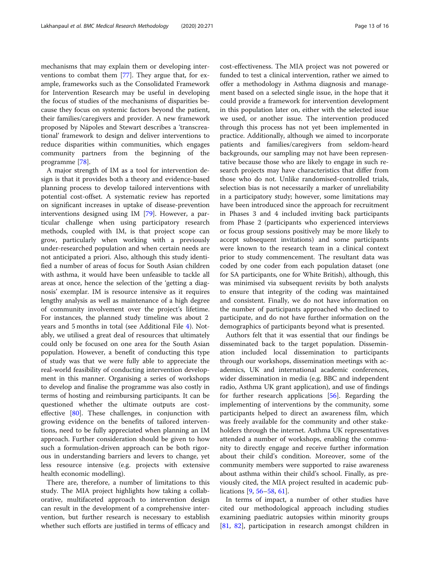mechanisms that may explain them or developing interventions to combat them [[77\]](#page-15-0). They argue that, for example, frameworks such as the Consolidated Framework for Intervention Research may be useful in developing the focus of studies of the mechanisms of disparities because they focus on systemic factors beyond the patient, their families/caregivers and provider. A new framework proposed by Nápoles and Stewart describes a 'transcreational' framework to design and deliver interventions to reduce disparities within communities, which engages community partners from the beginning of the programme [\[78](#page-15-0)].

A major strength of IM as a tool for intervention design is that it provides both a theory and evidence-based planning process to develop tailored interventions with potential cost-offset. A systematic review has reported on significant increases in uptake of disease-prevention interventions designed using IM [[79\]](#page-15-0). However, a particular challenge when using participatory research methods, coupled with IM, is that project scope can grow, particularly when working with a previously under-researched population and when certain needs are not anticipated a priori. Also, although this study identified a number of areas of focus for South Asian children with asthma, it would have been unfeasible to tackle all areas at once, hence the selection of the 'getting a diagnosis' exemplar. IM is resource intensive as it requires lengthy analysis as well as maintenance of a high degree of community involvement over the project's lifetime. For instances, the planned study timeline was about 2 years and 5 months in total (see Additional File [4](#page-13-0)). Notably, we utilised a great deal of resources that ultimately could only be focused on one area for the South Asian population. However, a benefit of conducting this type of study was that we were fully able to appreciate the real-world feasibility of conducting intervention development in this manner. Organising a series of workshops to develop and finalise the programme was also costly in terms of hosting and reimbursing participants. It can be questioned whether the ultimate outputs are costeffective [[80\]](#page-15-0). These challenges, in conjunction with growing evidence on the benefits of tailored interventions, need to be fully appreciated when planning an IM approach. Further consideration should be given to how such a formulation-driven approach can be both rigorous in understanding barriers and levers to change, yet less resource intensive (e.g. projects with extensive health economic modelling).

There are, therefore, a number of limitations to this study. The MIA project highlights how taking a collaborative, multifaceted approach to intervention design can result in the development of a comprehensive intervention, but further research is necessary to establish whether such efforts are justified in terms of efficacy and cost-effectiveness. The MIA project was not powered or funded to test a clinical intervention, rather we aimed to offer a methodology in Asthma diagnosis and management based on a selected single issue, in the hope that it could provide a framework for intervention development in this population later on, either with the selected issue we used, or another issue. The intervention produced through this process has not yet been implemented in practice. Additionally, although we aimed to incorporate patients and families/caregivers from seldom-heard backgrounds, our sampling may not have been representative because those who are likely to engage in such research projects may have characteristics that differ from those who do not. Unlike randomised-controlled trials, selection bias is not necessarily a marker of unreliability in a participatory study; however, some limitations may have been introduced since the approach for recruitment in Phases 3 and 4 included inviting back participants from Phase 2 (participants who experienced interviews or focus group sessions positively may be more likely to accept subsequent invitations) and some participants were known to the research team in a clinical context prior to study commencement. The resultant data was coded by one coder from each population dataset (one for SA participants, one for White British), although, this was minimised via subsequent revisits by both analysts to ensure that integrity of the coding was maintained and consistent. Finally, we do not have information on the number of participants approached who declined to participate, and do not have further information on the demographics of participants beyond what is presented.

Authors felt that it was essential that our findings be disseminated back to the target population. Dissemination included local dissemination to participants through our workshops, dissemination meetings with academics, UK and international academic conferences, wider dissemination in media (e.g. BBC and independent radio, Asthma UK grant application), and use of findings for further research applications [[56](#page-15-0)]. Regarding the implementing of interventions by the community, some participants helped to direct an awareness film, which was freely available for the community and other stakeholders through the internet. Asthma UK representatives attended a number of workshops, enabling the community to directly engage and receive further information about their child's condition. Moreover, some of the community members were supported to raise awareness about asthma within their child's school. Finally, as previously cited, the MIA project resulted in academic publications [[9,](#page-14-0) [56](#page-15-0)–[58](#page-15-0), [61](#page-15-0)].

In terms of impact, a number of other studies have cited our methodological approach including studies examining paediatric autopsies within minority groups [[81,](#page-15-0) [82](#page-15-0)], participation in research amongst children in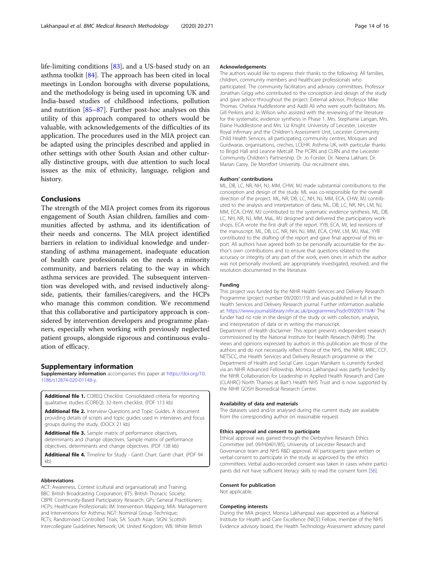<span id="page-13-0"></span>life-limiting conditions [\[83](#page-15-0)], and a US-based study on an asthma toolkit [\[84](#page-15-0)]. The approach has been cited in local meetings in London boroughs with diverse populations, and the methodology is being used in upcoming UK and India-based studies of childhood infections, pollution and nutrition [\[85](#page-15-0)–[87\]](#page-15-0). Further post-hoc analyses on this utility of this approach compared to others would be valuable, with acknowledgements of the difficulties of its application. The procedures used in the MIA project can be adapted using the principles described and applied in other settings with other South Asian and other culturally distinctive groups, with due attention to such local issues as the mix of ethnicity, language, religion and history.

## Conclusions

The strength of the MIA project comes from its rigorous engagement of South Asian children, families and communities affected by asthma, and its identification of their needs and concerns. The MIA project identified barriers in relation to individual knowledge and understanding of asthma management, inadequate education of health care professionals on the needs a minority community, and barriers relating to the way in which asthma services are provided. The subsequent intervention was developed with, and revised inductively alongside, patients, their families/caregivers, and the HCPs who manage this common condition. We recommend that this collaborative and participatory approach is considered by intervention developers and programme planners, especially when working with previously neglected patient groups, alongside rigorous and continuous evaluation of efficacy.

#### Supplementary information

Supplementary information accompanies this paper at [https://doi.org/10.](https://doi.org/10.1186/s12874-020-01148-y) [1186/s12874-020-01148-y](https://doi.org/10.1186/s12874-020-01148-y).

Additional file 1. COREQ Checklist. Consolidated criteria for reporting qualitative studies (COREQ): 32-item checklist. (PDF 113 kb)

Additional file 2. Interview Questions and Topic Guides. A document providing details of scripts and topic guides used in interviews and focus groups during the study. (DOCX 21 kb)

Additional file 3. Sample matrix of performance objectives, determinants and change objectives. Sample matrix of performance objectives, determinants and change objectives. (PDF 138 kb)

Additional file 4. Timeline for Study - Gantt Chart. Gantt chart. (PDF 94 kb)

#### Abbreviations

ACT: Awareness, Context (cultural and organisational) and Training; BBC: British Broadcasting Corporation; BTS: British Thoracic Society; CBPR: Community-Based Participatory Research; GPs: General Practitioners; HCPs: Healthcare Professionals; IM: Intervention Mapping; MIA: Management and Interventions for Asthma; NGT: Nominal Group Technique; RCTs: Randomised Controlled Trials; SA: South Asian; SIGN: Scottish Intercollegiate Guidelines Network; UK: United Kingdom; WB: White British

#### Acknowledgements

The authors would like to express their thanks to the following: All families, children, community members and healthcare professionals who participated. The community facilitators and advisory committees. Professor Jonathan Grigg who contributed to the conception and design of the study and gave advice throughout the project. External advisor, Professor Mike Thomas. Chelsea Huddlestone and Aadil Ali who were youth facilitators. Ms. Gill Perkins and Jo Wilson who assisted with the reviewing of the literature for the systematic evidence synthesis in Phase 1. Mrs. Stephanie Langan, Mrs. Elaine Huddlestone and Mrs. Liz Knight. University of Leicester, Leicester Royal Infirmary and the Children's Assessment Unit, Leicester Community Child Health Services, all participating community centres, Mosques and Gurdwaras, organisations, creches, LCEHR. Asthma UK, with particular thanks to Brigid Hall and Leanne Metcalf. The PCRN and CLRN and the Leicester Community Children's Partnership. Dr. Jo Forster. Dr. Neena Lakhani. Dr. Marian Carey. De Montfort University. Our recruitment sites.

#### Authors' contributions

ML, DB, LC, NR, NH, NJ, MM, CHW, MJ made substantial contributions to the conception and design of the study. ML was co-responsible for the overall direction of the project. ML, NR, DB, LC, NH, NJ, MM, ECA, CHW, MJ contributed to the analysis and interpretation of data. ML, DB, LC, NR, NH, LM, NJ, MM, ECA, CHW, MJ contributed to the systematic evidence synthesis. ML, DB, LC, NH, NR, NJ, MM, MaL, MJ designed and delivered the participatory workshops. ECA wrote the first draft of the report. YYB, ECA, ML led revisions of the manuscript. ML, DB, LC, NR, NH, NJ, MM, ECA, CHW, LM, MJ, MaL, YYB contributed to the drafting of the report and gave final approval of this report. All authors have agreed both to be personally accountable for the author's own contributions and to ensure that questions related to the accuracy or integrity of any part of the work, even ones in which the author was not personally involved, are appropriately investigated, resolved, and the resolution documented in the literature.

#### Funding

This project was funded by the NIHR Health Services and Delivery Research Programme (project number 09/2001/19) and was published in full in the Health Services and Delivery Research journal. Further information available at: <https://www.journalslibrary.nihr.ac.uk/programmes/hsdr/09200119/#/> The funder had no role in the design of the study or with collection, analysis, and interpretation of data or in writing the manuscript. Department of Health disclaimer: This report presents independent research commissioned by the National Institute for Health Research (NIHR). The views and opinions expressed by authors in this publication are those of the authors and do not necessarily reflect those of the NHS, the NIHR, MRC, CCF, NETSCC, the Health Services and Delivery Research programme or the Department of Health and Social Care. Logan Manikam is currently funded via an NIHR Advanced Fellowship. Monica Lakhanpaul was partly funded by the NIHR Collaboration for Leadership in Applied Health Research and Care (CLAHRC) North Thames at Bart's Health NHS Trust and is now supported by the NIHR GOSH Biomedical Research Centre.

#### Availability of data and materials

The datasets used and/or analysed during the current study are available from the corresponding author on reasonable request.

#### Ethics approval and consent to participate

Ethical approval was gained through the Derbyshire Research Ethics Committee (ref. 09/H0401/85), University of Leicester Research and Governance team and NHS R&D approval. All participants gave written or verbal consent to participate in the study as approved by the ethics committees. Verbal audio-recorded consent was taken in cases where participants did not have sufficient literacy skills to read the consent form [[56](#page-15-0)].

#### Consent for publication

Not applicable.

#### Competing interests

During the MIA project, Monica Lakhanpaul was appointed as a National Institute for Health and Care Excellence (NICE) Fellow, member of the NHS Evidence advisory board, the Health Technology Assessment advisory panel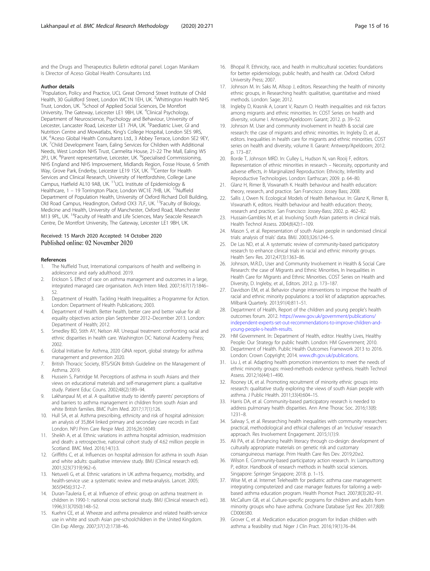<span id="page-14-0"></span>and the Drugs and Therapeutics Bulletin editorial panel. Logan Manikam is Director of Aceso Global Health Consultants Ltd.

#### Author details

<sup>1</sup>Population, Policy and Practice, UCL Great Ormond Street Institute of Child Health, 30 Guildford Street, London WC1N 1EH, UK. <sup>2</sup>Whittington Health NHS Trust, London, UK. <sup>3</sup>School of Applied Social Sciences, De Montfort University, The Gateway, Leicester LE1 9BH, UK. <sup>4</sup>Clinical Psychology, Department of Neuroscience, Psychology and Behaviour, University of Leicester, Lancaster Road, Leicester LE1 7HA, UK. <sup>5</sup>Paediatric Liver, GI and Nutrition Centre and Mowatlabs, King's College Hospital, London SE5 9RS, UK. <sup>6</sup>Aceso Global Health Consultants Ltd., 3 Abbey Terrace, London SE2 9EY, UK. <sup>7</sup>Child Development Team, Ealing Services for Children with Additional Needs, West London NHS Trust, Carmelita House, 21-22 The Mall, Ealing W5 2PJ, UK. <sup>8</sup>Parent representative, Leicester, UK. <sup>9</sup>Specialised Commissioning, NHS England and NHS Improvement, Midlands Region, Fosse House, 6 Smith Way, Grove Park, Enderby, Leicester LE19 1SX, UK.<sup>10</sup>Center for Health Services and Clinical Research, University of Hertfordshire, College Lane Campus, Hatfield AL10 9AB, UK. <sup>11</sup>UCL Institute of Epidemiology & Healthcare, 1 – 19 Torrington Place, London WC1E 7HB, UK. <sup>12</sup>Nuffield Department of Population Health, University of Oxford Richard Doll Building, Old Road Campus, Headington, Oxford OX3 7LF, UK. <sup>13</sup>Faculty of Biology, Medicine and Health, University of Manchester, Oxford Road, Manchester M13 9PL, UK. 14Faculty of Health and Life Sciences, Mary Seacole Research Centre, De Montfort University, The Gateway, Leicester LE1 9BH, UK.

#### Received: 15 March 2020 Accepted: 14 October 2020 Published online: 02 November 2020

#### References

- The Nuffield Trust, International comparisons of health and wellbeing in adolescence and early adulthood. 2019.
- 2. Erickson S. Effect of race on asthma management and outcomes in a large, integrated managed care organisation. Arch Intern Med. 2007;167(17):1846– 52.
- 3. Department of Health. Tackling Health Inequalities: a Programme for Action. London: Department of Health Publications; 2003.
- 4. Department of Health. Better health, better care and better value for all: equality objectives action plan September 2012–December 2013. London: Department of Health; 2012.
- 5. Smedley BD, Stith AY, Nelson AR. Unequal treatment: confronting racial and ethnic disparities in health care. Washington DC: National Academy Press; 2002.
- 6. Global Initiative for Asthma, 2020 GINA report, global strategy for asthma management and prevention 2020.
- 7. British Thoracic Society, BTS/SIGN British Guideline on the Management of Asthma. 2019.
- Hussein S, Partridge M. Perceptions of asthma in south Asians and their views on educational materials and self-management plans: a qualitative study. Patient Educ Couns. 2002;48(2):189–94.
- 9. Lakhanpaul M, et al. A qualitative study to identify parents' perceptions of and barriers to asthma management in children from south Asian and white British families. BMC Pulm Med. 2017;17(1):126.
- 10. Hull SA, et al. Asthma prescribing, ethnicity and risk of hospital admission: an analysis of 35,864 linked primary and secondary care records in East London. NPJ Prim Care Respir Med. 2016;26:16049.
- 11. Sheikh A, et al. Ethnic variations in asthma hospital admission, readmission and death: a retrospective, national cohort study of 4.62 million people in Scotland. BMC Med. 2016;14(1):3.
- 12. Griffiths C, et al. Influences on hospital admission for asthma in south Asian and white adults: qualitative interview study. BMJ (Clinical research ed). 2001;323(7319):962–6.
- 13. Netuveli G, et al. Ethnic variations in UK asthma frequency, morbidity, and health-service use: a systematic review and meta-analysis. Lancet. 2005; 365(9456):312–7.
- 14. Duran-Tauleria E, et al. Influence of ethnic group on asthma treatment in children in 1990-1: national cross sectional study. BMJ (Clinical research ed.). 1996;313(7050):148–52.
- 15. Kuehni CE, et al. Wheeze and asthma prevalence and related health-service use in white and south Asian pre-schoolchildren in the United Kingdom. Clin Exp Allergy. 2007;37(12):1738–46.
- 16. Bhopal R. Ethnicity, race, and health in multicultural societies: foundations for better epidemiology, public health, and health car. Oxford: Oxford University Press; 2007.
- 17. Johnson M. In: Saks M, Allsop J, editors. Researching the health of minority ethnic groups, in Researching health: qualitative, quantitative and mixed methods. London: Sage; 2012.
- 18. Ingleby D, Krasnik A, Lorant V, Razum O. Health inequalities and risk factors among migrants and ethnic minorities. In: COST Series on health and diversity, volume I. Antwerp/Apeldoorn: Garant; 2012. p. 39–52.
- 19. Johnson M. User and community involvement in health & social care research: the case of migrants and ethnic minorities. In: Ingleby D, et al., editors. Inequalities in health care for migrants and ethnic minorities. COST series on health and diversity, volume II. Garant: Antwerp/Apeldoorn; 2012. p. 173–87.
- 20. Borde T, Johnson MRD. In: Culley L, Hudson N, van Rooij F, editors. Representation of ethnic minorities in research – Necessity, opportunity and adverse effects, *In* Marginalized Reproduction: Ethnicity, Infertility and Reproductive Technologies. London: Earthscan; 2009. p. 64–80.
- 21. Glanz H, Rimer B, Viswanath K. Health behaviour and health education: theory, research, and practice. San Francisco: Jossey Bass; 2008.
- 22. Sallis J, Owen N. Ecological Models of Health Behaviour. In: Glanz K, Rimer B, Viswanath K, editors. Health behaviour and health education: theory, research and practice. San Francisco: Jossey-Bass; 2002. p. 462–82.
- 23. Hussain-Gambles M, et al. Involving South Asian patients in clinical trials. Health Technol Assess. 2004;8(42):1–109.
- 24. Mason S, et al. Representation of south Asian people in randomised clinical trials: analysis of trials' data. BMJ. 2003;326:1244–5.
- 25. De Las ND, et al. A systematic review of community-based participatory research to enhance clinical trials in racial and ethnic minority groups. Health Serv Res. 2012;47(3):1363–86.
- 26. Johnson, M.R.D., User and Community Involvement in Health & Social Care Research: the case of Migrants and Ethnic Minorities, In Inequalities in Health Care for Migrants and Ethnic Minorities. COST Series on Health and Diversity, D. Ingleby, et al., Editors. 2012. p. 173–187.
- 27. Davidson EM, et al. Behavior change interventions to improve the health of racial and ethnic minority populations: a tool kit of adaptation approaches. Milbank Quarterly. 2013;91(4):811–51.
- 28. Department of Health, Report of the children and young people's health outcomes forum. 2012. [https://www.gov.uk/government/publications/](https://www.gov.uk/government/publications/independent-experts-set-out-recommendations-to-improve-children-and-young-people-s-health-results) [independent-experts-set-out-recommendations-to-improve-children-and](https://www.gov.uk/government/publications/independent-experts-set-out-recommendations-to-improve-children-and-young-people-s-health-results)[young-people-s-health-results.](https://www.gov.uk/government/publications/independent-experts-set-out-recommendations-to-improve-children-and-young-people-s-health-results)
- 29. HM Government. In: Department of Health, editor. Healthy Lives, Healthy People: Our Strategy for public health. London: HM Government; 2010.
- 30. Department of Health. Public Health Outcomes Framework 2013 to 2016. London: Crown Copyright; 2014. [www.dh.gov.uk/publications.](http://www.dh.gov.uk/publications)
- 31. Liu J, et al. Adapting health promotion interventions to meet the needs of ethnic minority groups: mixed-methods evidence synthesis. Health Technol Assess. 2012;16(44):1–490.
- 32. Rooney LK, et al. Promoting recruitment of minority ethnic groups into research: qualitative study exploring the views of south Asian people with asthma. J Public Health. 2011;33(4):604–15.
- 33. Harris DA, et al. Community-based participatory research is needed to address pulmonary health disparities. Ann Ame Thorac Soc. 2016;13(8): 1231–8.
- 34. Salway S, et al. Researching health inequalities with community researchers: practical, methodological and ethical challenges of an 'inclusive' research approach. Res Involvement Engagement. 2015;1(1):9.
- 35. Ali PA, et al. Enhancing health literacy through co-design: development of culturally appropriate materials on genetic risk and customary consanguineous marriage. Prim Health Care Res Dev. 2019;20:e2.
- 36. Wilson E. Community-based participatory action research. In: Liamputtong P, editor. Handbook of research methods in health social sciences. Singapore: Springer Singapore; 2018. p. 1–15.
- 37. Wise M, et al. Internet Telehealth for pediatric asthma case management: integrating computerized and case manager features for tailoring a webbased asthma education program. Health Promot Pract. 2007;8(3):282–91.
- 38. McCallum GB, et al. Culture-specific programs for children and adults from minority groups who have asthma. Cochrane Database Syst Rev. 2017;8(8): CD006580.
- 39. Grover C, et al. Medication education program for Indian children with asthma: a feasibility stud. Niger J Clin Pract. 2016;19(1):76–84.